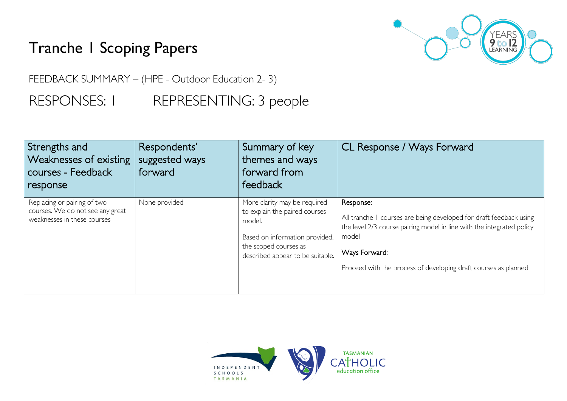## Tranche 1 Scoping Papers



FEEDBACK SUMMARY – (HPE - Outdoor Education 2- 3) RESPONSES: I REPRESENTING: 3 people

| Strengths and<br>Weaknesses of existing<br>courses - Feedback<br>response                      | Respondents'<br>suggested ways<br>forward | Summary of key<br>themes and ways<br>forward from<br>feedback                                                                                                          | CL Response / Ways Forward                                                                                                                                                                                                                            |
|------------------------------------------------------------------------------------------------|-------------------------------------------|------------------------------------------------------------------------------------------------------------------------------------------------------------------------|-------------------------------------------------------------------------------------------------------------------------------------------------------------------------------------------------------------------------------------------------------|
| Replacing or pairing of two<br>courses. We do not see any great<br>weaknesses in these courses | None provided                             | More clarity may be required<br>to explain the paired courses<br>model.<br>Based on information provided,<br>the scoped courses as<br>described appear to be suitable. | Response:<br>All tranche I courses are being developed for draft feedback using<br>the level 2/3 course pairing model in line with the integrated policy<br>model<br>Ways Forward:<br>Proceed with the process of developing draft courses as planned |

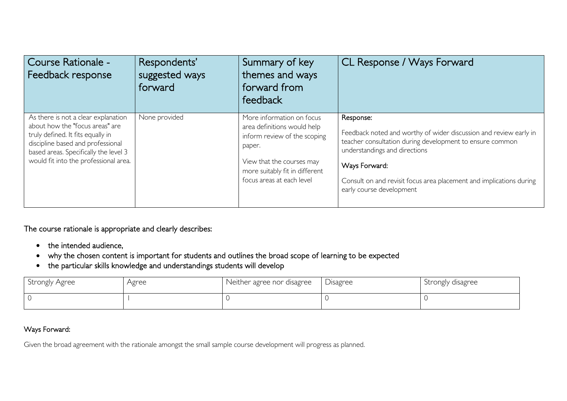| Course Rationale -<br>Feedback response                                                                                                                                                                                            | Respondents'<br>suggested ways<br>forward | Summary of key<br>themes and ways<br>forward from<br>feedback                                                                                                                                  | CL Response / Ways Forward                                                                                                                                                                                                                                                                      |
|------------------------------------------------------------------------------------------------------------------------------------------------------------------------------------------------------------------------------------|-------------------------------------------|------------------------------------------------------------------------------------------------------------------------------------------------------------------------------------------------|-------------------------------------------------------------------------------------------------------------------------------------------------------------------------------------------------------------------------------------------------------------------------------------------------|
| As there is not a clear explanation<br>about how the "focus areas" are<br>truly defined. It fits equally in<br>discipline based and professional<br>based areas. Specifically the level 3<br>would fit into the professional area. | None provided                             | More information on focus<br>area definitions would help<br>inform review of the scoping<br>paper.<br>View that the courses may<br>more suitably fit in different<br>focus areas at each level | Response:<br>Feedback noted and worthy of wider discussion and review early in<br>teacher consultation during development to ensure common<br>understandings and directions<br>Ways Forward:<br>Consult on and revisit focus area placement and implications during<br>early course development |

The course rationale is appropriate and clearly describes:

- the intended audience,
- why the chosen content is important for students and outlines the broad scope of learning to be expected
- the particular skills knowledge and understandings students will develop

| Strongly Agree | Agree | Neither agree nor disagree | <b>Disagree</b> | Strongly disagree |
|----------------|-------|----------------------------|-----------------|-------------------|
|                |       |                            |                 |                   |

## Ways Forward:

Given the broad agreement with the rationale amongst the small sample course development will progress as planned.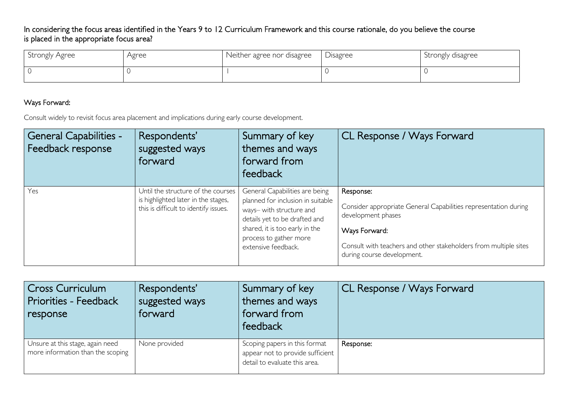## In considering the focus areas identified in the Years 9 to 12 Curriculum Framework and this course rationale, do you believe the course is placed in the appropriate focus area?

| Strongly Agree | Agree | Neither agree nor disagree | Disagree | Strongly disagree |
|----------------|-------|----------------------------|----------|-------------------|
|                |       |                            |          |                   |

## Ways Forward:

Consult widely to revisit focus area placement and implications during early course development.

| <b>General Capabilities -</b><br>Feedback response | Respondents'<br>suggested ways<br>forward                                                                          | Summary of key<br>themes and ways<br>forward from<br>feedback                                                                                                                                                       | CL Response / Ways Forward                                                                                                                                                                                            |
|----------------------------------------------------|--------------------------------------------------------------------------------------------------------------------|---------------------------------------------------------------------------------------------------------------------------------------------------------------------------------------------------------------------|-----------------------------------------------------------------------------------------------------------------------------------------------------------------------------------------------------------------------|
| Yes                                                | Until the structure of the courses<br>is highlighted later in the stages,<br>this is difficult to identify issues. | General Capabilities are being<br>planned for inclusion in suitable<br>ways- with structure and<br>details yet to be drafted and<br>shared, it is too early in the<br>process to gather more<br>extensive feedback. | Response:<br>Consider appropriate General Capabilities representation during<br>development phases<br>Ways Forward:<br>Consult with teachers and other stakeholders from multiple sites<br>during course development. |

| Cross Curriculum<br>Priorities - Feedback<br>response                 | Respondents'<br>suggested ways<br>forward | Summary of key<br>themes and ways<br>forward from<br>feedback                                      | CL Response / Ways Forward |
|-----------------------------------------------------------------------|-------------------------------------------|----------------------------------------------------------------------------------------------------|----------------------------|
| Unsure at this stage, again need<br>more information than the scoping | None provided                             | Scoping papers in this format<br>appear not to provide sufficient<br>detail to evaluate this area. | Response:                  |